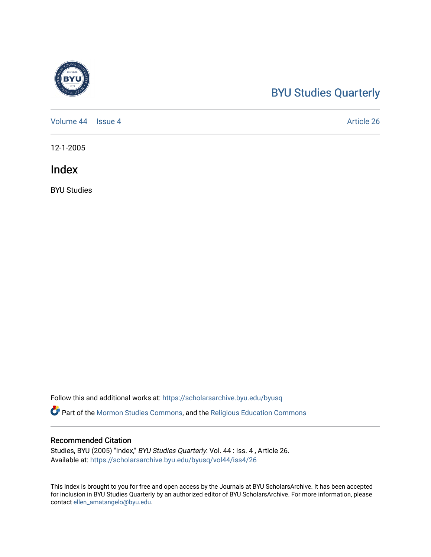# [BYU Studies Quarterly](https://scholarsarchive.byu.edu/byusq)

[Volume 44](https://scholarsarchive.byu.edu/byusq/vol44) | [Issue 4](https://scholarsarchive.byu.edu/byusq/vol44/iss4) Article 26

12-1-2005

Index

BYU Studies

Follow this and additional works at: [https://scholarsarchive.byu.edu/byusq](https://scholarsarchive.byu.edu/byusq?utm_source=scholarsarchive.byu.edu%2Fbyusq%2Fvol44%2Fiss4%2F26&utm_medium=PDF&utm_campaign=PDFCoverPages) 

Part of the [Mormon Studies Commons](http://network.bepress.com/hgg/discipline/1360?utm_source=scholarsarchive.byu.edu%2Fbyusq%2Fvol44%2Fiss4%2F26&utm_medium=PDF&utm_campaign=PDFCoverPages), and the [Religious Education Commons](http://network.bepress.com/hgg/discipline/1414?utm_source=scholarsarchive.byu.edu%2Fbyusq%2Fvol44%2Fiss4%2F26&utm_medium=PDF&utm_campaign=PDFCoverPages) 

#### Recommended Citation

Studies, BYU (2005) "Index," BYU Studies Quarterly: Vol. 44 : Iss. 4 , Article 26. Available at: [https://scholarsarchive.byu.edu/byusq/vol44/iss4/26](https://scholarsarchive.byu.edu/byusq/vol44/iss4/26?utm_source=scholarsarchive.byu.edu%2Fbyusq%2Fvol44%2Fiss4%2F26&utm_medium=PDF&utm_campaign=PDFCoverPages) 

This Index is brought to you for free and open access by the Journals at BYU ScholarsArchive. It has been accepted for inclusion in BYU Studies Quarterly by an authorized editor of BYU ScholarsArchive. For more information, please contact [ellen\\_amatangelo@byu.edu.](mailto:ellen_amatangelo@byu.edu)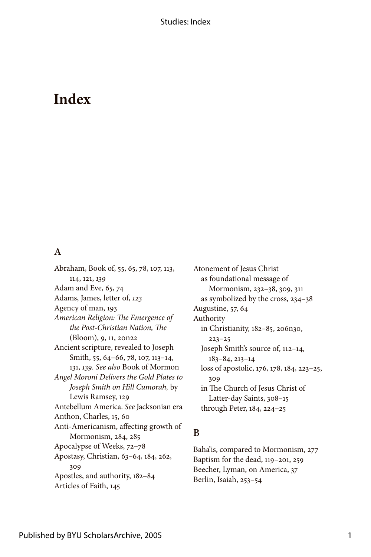# **Index**

#### **A**

Abraham, Book of, 55, 65, 78, 107, 113, 114, 121, 139 Adam and Eve, 65, 74 Adams, James, letter of, *23* Agency of man, 193 *American Religion: The Emergence of the Post-Christian Nation, The*   $(Bloom)$ , 9, 11, 20n22 Ancient scripture, revealed to Joseph Smith, 55, 64-66, 78, 107, 113-14, 3, *39*. *See also* Book of Mormon *Angel Moroni Delivers the Gold Plates to Joseph Smith on Hill Cumorah,* by Lewis Ramsey, 129 Antebellum America. *See* Jacksonian era Anthon, Charles, 15, 60 Anti-Americanism, affecting growth of Mormonism, 284, 285 Apocalypse of Weeks, 72–78 Apostasy, Christian, 63-64, 184, 262, 309 Apostles, and authority, 182-84 Articles of Faith, 145

Atonement of Jesus Christ as foundational message of Mormonism, 232–38, 309, 3 as symbolized by the cross, 234–38 Augustine, 57, 64 Authority in Christianity, 182-85, 206n30, 223–25 Joseph Smith's source of, 112–14, 83–84, 23–4 loss of apostolic, 176, 178, 184, 223-25, 309 in The Church of Jesus Christ of Latter-day Saints, 308-15 through Peter, 184, 224-25

#### **B**

Baha'is, compared to Mormonism, 277 Baptism for the dead, 119-201, 259 Beecher, Lyman, on America, 37 Berlin, Isaiah, 253–54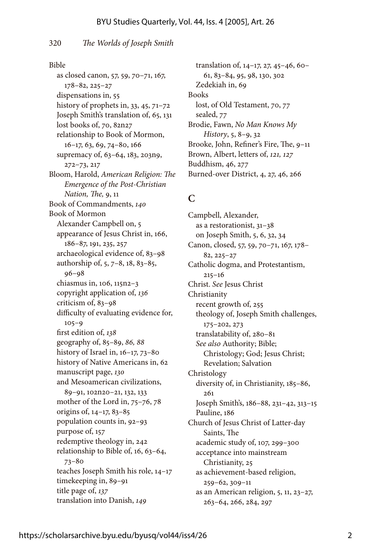#### 320 *The Worlds of Joseph Smith*

#### Bible

as closed canon, 57, 59, 70-71, 167, 78–82, 225–27 dispensations in, 55 history of prophets in,  $33, 45, 71 - 72$ Joseph Smith's translation of, 65, 131 lost books of, 70, 82n27 relationship to Book of Mormon, 16–17, 63, 69, 74–80, 166 supremacy of, 63-64, 183, 203n9, 272–73, 27 Bloom, Harold, *American Religion: The Emergence of the Post-Christian Nation, The,* 9, Book of Commandments, *40* Book of Mormon Alexander Campbell on, 5 appearance of Jesus Christ in, 166, 186–87, 191, 235, 257 archaeological evidence of, 83–98 authorship of, 5, 7-8, 18, 83-85, 96–98 chiasmus in,  $106$ ,  $115n2-3$ copyright application of, *36* criticism of, 83–98 difficulty of evaluating evidence for,  $105 - 9$ first edition of, *38* geography of, 85–89, *86, 88* history of Israel in,  $16-17$ ,  $73-80$ history of Native Americans in, 62 manuscript page, *30* and Mesoamerican civilizations, 89-91, 102n20-21, 132, 133 mother of the Lord in, 75–76, 78 origins of, 4–7, 83–85 population counts in, 92–93 purpose of, 157 redemptive theology in, 242 relationship to Bible of, 16, 63-64, 73–80 teaches Joseph Smith his role, 14-17 timekeeping in, 89-91 title page of, 137 translation into Danish, *49*

translation of, 14-17, 27, 45-46, 60-6, 83–84, 95, 98, 30, 302 Zedekiah in, 69 Books lost, of Old Testament, 70, 77 sealed,  $77$ Brodie, Fawn, *No Man Knows My History*, 5, 8–9, 32 Brooke, John, Refiner's Fire, The, 9– Brown, Albert, letters of, *121*, *127* Buddhism, 46, 277 Burned-over District, 4, 27, 46, 266

#### **C**

Campbell, Alexander, as a restorationist,  $31-38$ on Joseph Smith, 5, 6, 32, 34 Canon, closed, 57, 59, 70–71, 167, 178– 82, 225–27 Catholic dogma, and Protestantism,  $215 - 16$ Christ. *See* Jesus Christ Christianity recent growth of, 255 theology of, Joseph Smith challenges, 75–202, 273 translatability of, 280–8 *See also* Authority; Bible; Christology; God; Jesus Christ; Revelation; Salvation Christology diversity of, in Christianity, 185-86, 26 Joseph Smith's, 186-88, 231-42, 313-15 Pauline, 186 Church of Jesus Christ of Latter-day Saints, The academic study of, 07, 299–300 acceptance into mainstream Christianity, 25 as achievement-based religion, 259–62, 309– as an American religion,  $5$ ,  $11$ ,  $23-27$ , 263–64, 266, 284, 297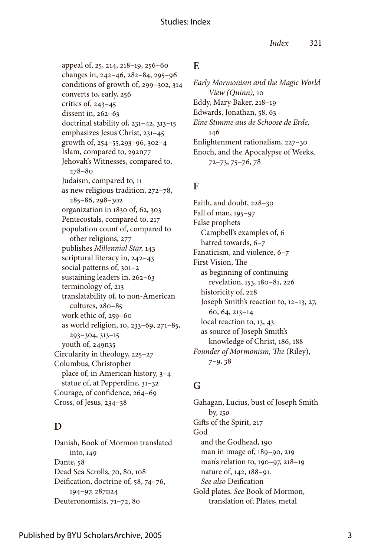#### Studies: Index

appeal of, 25, 214, 218-19, 256-60 changes in, 242–46, 282–84, 295–96 conditions of growth of, 299–302, 34 converts to, early, 256 critics of, 243–45 dissent in, 262–63 doctrinal stability of,  $231-42$ ,  $313-15$ emphasizes Jesus Christ, 231-45 growth of, 254–55,293–96, 302–4 Islam, compared to, 292n77 Jehovah's Witnesses, compared to, 278–80 Judaism, compared to, as new religious tradition, 272–78, 285–86, 298–302 organization in 1830 of, 62, 303 Pentecostals, compared to, 217 population count of, compared to other religions, 277 publishes *Millennial Star*, 143 scriptural literacy in, 242–43 social patterns of, 301-2 sustaining leaders in, 262–63 terminology of, 213 translatability of, to non-American cultures, 280–85 work ethic of, 259–60 as world religion, 10, 233-69, 271-85, 293–304, 33–5 youth of, 249n35 Circularity in theology, 225–27 Columbus, Christopher place of, in American history, 3–4 statue of, at Pepperdine, 31-32 Courage, of confidence, 264–69 Cross, of Jesus, 234–38

## **D**

Danish, Book of Mormon translated into, *49* Dante, 58 Dead Sea Scrolls, 70, 80, 108 Deification, doctrine of, 58, 74–76, 94–97, 287n24 Deuteronomists, 71–72, 80

#### **E**

*Early Mormonism and the Magic World View (Quinn)*, 10 Eddy, Mary Baker, 218-19 Edwards, Jonathan, 58, 63 *Eine Stimme aus de Schoose de Erde,* 46 Enlightenment rationalism, 227–30 Enoch, and the Apocalypse of Weeks, 72–73, 75–76, 78

#### **F**

Faith, and doubt, 228–30 Fall of man,  $195-97$ False prophets Campbell's examples of, 6 hatred towards, 6–7 Fanaticism, and violence, 6–7 First Vision, The as beginning of continuing revelation, 153, 180-81, 226 historicity of, 228 Joseph Smith's reaction to, 12-13, 27, 60, 64, 23–4 local reaction to, 13, 43 as source of Joseph Smith's knowledge of Christ, 186, 188 *Founder of Mormonism, The* (Riley), 7–9, 38

## **G**

Gahagan, Lucius, bust of Joseph Smith by, *50* Gifts of the Spirit, 217 God and the Godhead, 190 man in image of, 189-90, 219 man's relation to, 190–97, 218–19 nature of, 142, 188-91. *See also* Deification Gold plates. *See* Book of Mormon, translation of; Plates, metal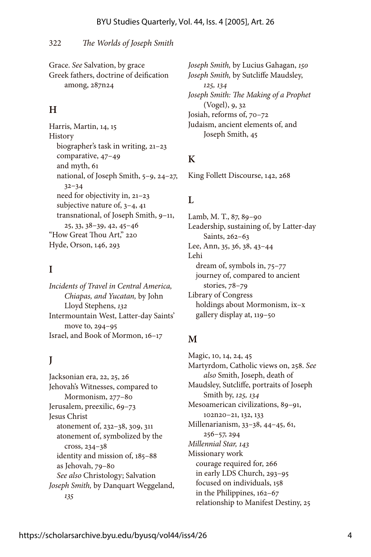#### 322 *The Worlds of Joseph Smith*

Grace. *See* Salvation, by grace Greek fathers, doctrine of deification among, 287n24

#### **H**

Harris, Martin, 14, 15 **History** biographer's task in writing, 21-23 comparative, 47–49 and myth, 6 national, of Joseph Smith, 5–9, 24–27, 32–34 need for objectivity in, 21-23 subjective nature of, 3–4, 4 transnational, of Joseph Smith,  $9-11$ , 25, 33, 38–39, 42, 45–46 "How Great Thou Art," 220 Hyde, Orson, 46, 293

#### **I**

*Incidents of Travel in Central America, Chiapas, and Yucatan,* by John Lloyd Stephens, *32* Intermountain West, Latter-day Saints' move to, 294–95 Israel, and Book of Mormon, 16-17

## **J**

Jacksonian era, 22, 25, 26 Jehovah's Witnesses, compared to Mormonism, 277–80 Jerusalem, preexilic, 69–73 Jesus Christ atonement of, 232–38, 309, 3 atonement of, symbolized by the cross, 234–38 identity and mission of, 185-88 as Jehovah, 79–80 *See also* Christology; Salvation *Joseph Smith,* by Danquart Weggeland, *35*

*Joseph Smith,* by Lucius Gahagan, *50 Joseph Smith,* by Sutcliffe Maudsley, *25, 34 Joseph Smith: The Making of a Prophet* (Vogel), 9, 32 Josiah, reforms of, 70–72 Judaism, ancient elements of, and Joseph Smith, 45

#### **K**

King Follett Discourse, 42, 268

#### **L**

Lamb, M. T., 87, 89–90 Leadership, sustaining of, by Latter-day Saints, 262–63 Lee, Ann, 35, 36, 38, 43–44 Lehi dream of, symbols in, 75–77 journey of, compared to ancient stories, 78–79 Library of Congress holdings about Mormonism, ix–x gallery display at, 119-50

#### **M**

Magic, 10, 14, 24, 45 Martyrdom, Catholic views on, 258. *See also* Smith, Joseph, death of Maudsley, Sutcliffe, portraits of Joseph Smith by, *25, 34* Mesoamerican civilizations, 89–9, 102n20-21, 132, 133 Millenarianism, 33–38, 44–45, 6, 256–57, 294 *Millennial Star, 43* Missionary work courage required for, 266 in early LDS Church, 293–95 focused on individuals, 158 in the Philippines, 162-67 relationship to Manifest Destiny, 25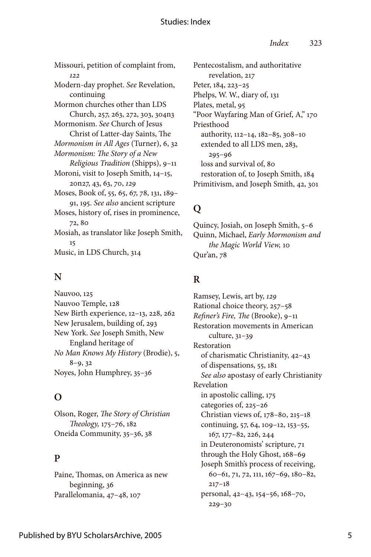#### Studies: Index

Missouri, petition of complaint from, *22* Modern-day prophet. *See* Revelation, continuing Mormon churches other than LDS Church, 257, 263, 272, 303, 304n3 Mormonism. *See* Church of Jesus Christ of Latter-day Saints, The *Mormonism in All Ages* (Turner), 6, 32 *Mormonism: The Story of a New Religious Tradition* (Shipps), 9– Moroni, visit to Joseph Smith, 14-15, 20n27, 43, 63, 70, *29* Moses, Book of, 55, 65, 67, 78, 131, 189-9, 95. *See also* ancient scripture Moses, history of, rises in prominence, 72, 80 Mosiah, as translator like Joseph Smith, 5 Music, in LDS Church, 34

#### **N**

Nauvoo, 125 Nauvoo Temple, 128 New Birth experience, 12-13, 228, 262 New Jerusalem, building of, 293 New York. *See* Joseph Smith, New England heritage of *No Man Knows My History* (Brodie), 5, 8–9, 32 Noyes, John Humphrey, 35–36

## **O**

Olson, Roger, *The Story of Christian*  Theology, 175-76, 182 Oneida Community, 35–36, 38

#### **P**

Paine, Thomas, on America as new beginning, 36 Parallelomania, 47-48, 107

Pentecostalism, and authoritative revelation, 217 Peter, 184, 223-25 Phelps, W. W., diary of, 131 Plates, metal, 95 "Poor Wayfaring Man of Grief, A," 170 Priesthood authority, 112-14, 182-85, 308-10 extended to all LDS men, 283, 295–96 loss and survival of, 80 restoration of, to Joseph Smith, 184 Primitivism, and Joseph Smith, 42, 30

## **Q**

Quincy, Josiah, on Joseph Smith, 5–6 Quinn, Michael, *Early Mormonism and the Magic World View, 10* Qur'an, 78

#### **R**

Ramsey, Lewis, art by, *29* Rational choice theory, 257–58 *Refiner's Fire, The* (Brooke), 9– Restoration movements in American culture, 31-39 Restoration of charismatic Christianity, 42–43 of dispensations, 55, 181 *See also* apostasy of early Christianity Revelation in apostolic calling, 75 categories of, 225–26 Christian views of,  $178-80$ ,  $215-18$ continuing, 57, 64, 109-12, 153-55, 67, 77–82, 226, 244 in Deuteronomists' scripture, 7 through the Holy Ghost, 168-69 Joseph Smith's process of receiving, 60–61, 71, 72, 111, 167–69, 180–82,  $217 - 18$ personal, 42-43, 154-56, 168-70, 229–30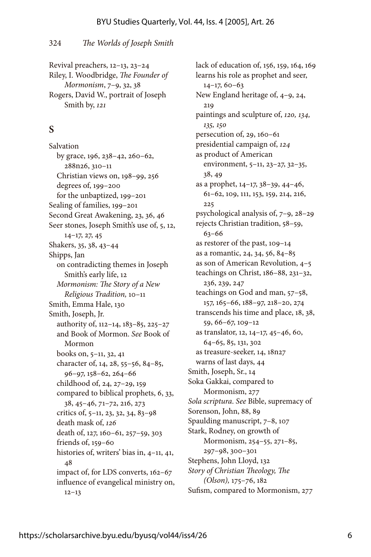324 *The Worlds of Joseph Smith*

Revival preachers, 12-13, 23-24 Riley, I. Woodbridge, *The Founder of Mormonism*, 7–9, 32, 38 Rogers, David W., portrait of Joseph Smith by, 121

#### **S**

Salvation by grace, 96, 238–42, 260–62, 288n26, 30– Christian views on, 198-99, 256 degrees of, 199-200 for the unbaptized, 199-201 Sealing of families, 199-201 Second Great Awakening, 23, 36, 46 Seer stones, Joseph Smith's use of, 5, 12, 4–7, 27, 45 Shakers, 35, 38, 43–44 Shipps, Jan on contradicting themes in Joseph Smith's early life, 12 *Mormonism: The Story of a New Religious Tradition*, 10-11 Smith, Emma Hale, 130 Smith, Joseph, Jr. authority of, 112-14, 183-85, 225-27 and Book of Mormon. *See* Book of Mormon books on, 5-11, 32, 41 character of, 14, 28, 55-56, 84-85, 96–97, 58–62, 264–66 childhood of, 24, 27-29, 159 compared to biblical prophets, 6, 33, 38, 45–46, 7–72, 26, 273 critics of,  $5-11$ , 23, 32, 34, 83–98 death mask of, 126 death of, 127, 160-61, 257-59, 303 friends of,  $159-60$ histories of, writers' bias in,  $4-11$ ,  $41$ , 48 impact of, for LDS converts, 162-67 influence of evangelical ministry on,  $12-13$ 

lack of education of, 156, 159, 164, 169 learns his role as prophet and seer,  $14-17, 60-63$ New England heritage of, 4–9, 24, 219 paintings and sculpture of, *20, 34, 35, 50* persecution of,  $29, 160-61$ presidential campaign of, *24* as product of American environment, 5-11, 23-27, 32-35, 38, 49 as a prophet, 4–7, 38–39, 44–46, 61-62, 109, 111, 153, 159, 214, 216, 225 psychological analysis of, 7–9, 28–29 rejects Christian tradition, 58–59, 63–66 as restorer of the past, 109-14 as a romantic, 24, 34, 56, 84–85 as son of American Revolution, 4–5 teachings on Christ, 186-88, 231-32, 236, 239, 247 teachings on God and man, 57–58, 57, 65–66, 88–97, 28–20, 274 transcends his time and place, 18, 38, 59, 66–67, 09–2 as translator, 12, 14-17, 45-46, 60, 64-65, 85, 131, 302 as treasure-seeker, 14, 18n27 warns of last days, 44 Smith, Joseph, Sr., 14 Soka Gakkai, compared to Mormonism, 277 *Sola scriptura*. *See* Bible, supremacy of Sorenson, John, 88, 89 Spaulding manuscript, 7-8, 107 Stark, Rodney, on growth of Mormonism, 254–55, 271–85, 297–98, 300–30 Stephens, John Lloyd, 132 *Story of Christian Theology, The (Olson)*, 175–76, 182 Sufism, compared to Mormonism, 277